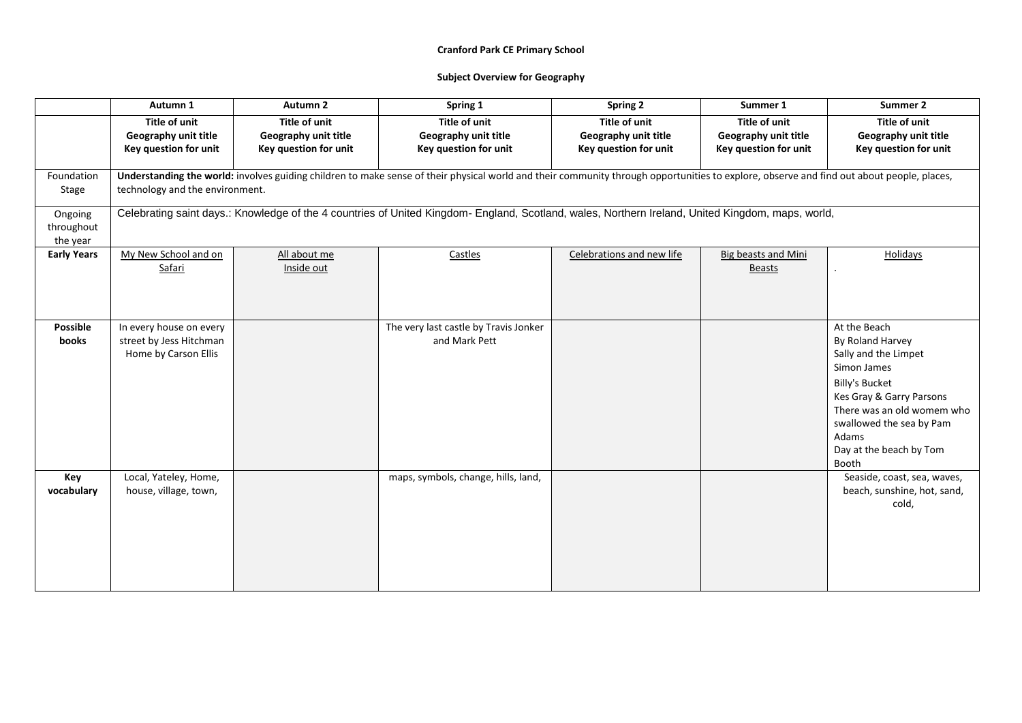|                                   | Autumn 1                                                                   | Autumn <sub>2</sub>                                                   | Spring 1                                                                                                                                                                                  | Spring 2                                                              | Summer 1                                                              | Summer 2                                                                                                                                                                                                                            |
|-----------------------------------|----------------------------------------------------------------------------|-----------------------------------------------------------------------|-------------------------------------------------------------------------------------------------------------------------------------------------------------------------------------------|-----------------------------------------------------------------------|-----------------------------------------------------------------------|-------------------------------------------------------------------------------------------------------------------------------------------------------------------------------------------------------------------------------------|
|                                   | <b>Title of unit</b><br>Geography unit title<br>Key question for unit      | <b>Title of unit</b><br>Geography unit title<br>Key question for unit | <b>Title of unit</b><br>Geography unit title<br>Key question for unit                                                                                                                     | <b>Title of unit</b><br>Geography unit title<br>Key question for unit | <b>Title of unit</b><br>Geography unit title<br>Key question for unit | Title of unit<br>Geography unit title<br>Key question for unit                                                                                                                                                                      |
| Foundation<br>Stage               | technology and the environment.                                            |                                                                       | Understanding the world: involves guiding children to make sense of their physical world and their community through opportunities to explore, observe and find out about people, places, |                                                                       |                                                                       |                                                                                                                                                                                                                                     |
| Ongoing<br>throughout<br>the year |                                                                            |                                                                       | Celebrating saint days.: Knowledge of the 4 countries of United Kingdom- England, Scotland, wales, Northern Ireland, United Kingdom, maps, world,                                         |                                                                       |                                                                       |                                                                                                                                                                                                                                     |
| <b>Early Years</b>                | My New School and on<br>Safari                                             | All about me<br>Inside out                                            | Castles                                                                                                                                                                                   | Celebrations and new life                                             | <b>Big beasts and Mini</b><br><b>Beasts</b>                           | Holidays                                                                                                                                                                                                                            |
| <b>Possible</b><br><b>books</b>   | In every house on every<br>street by Jess Hitchman<br>Home by Carson Ellis |                                                                       | The very last castle by Travis Jonker<br>and Mark Pett                                                                                                                                    |                                                                       |                                                                       | At the Beach<br>By Roland Harvey<br>Sally and the Limpet<br>Simon James<br><b>Billy's Bucket</b><br>Kes Gray & Garry Parsons<br>There was an old womem who<br>swallowed the sea by Pam<br>Adams<br>Day at the beach by Tom<br>Booth |
| Key<br>vocabulary                 | Local, Yateley, Home,<br>house, village, town,                             |                                                                       | maps, symbols, change, hills, land,                                                                                                                                                       |                                                                       |                                                                       | Seaside, coast, sea, waves,<br>beach, sunshine, hot, sand,<br>cold,                                                                                                                                                                 |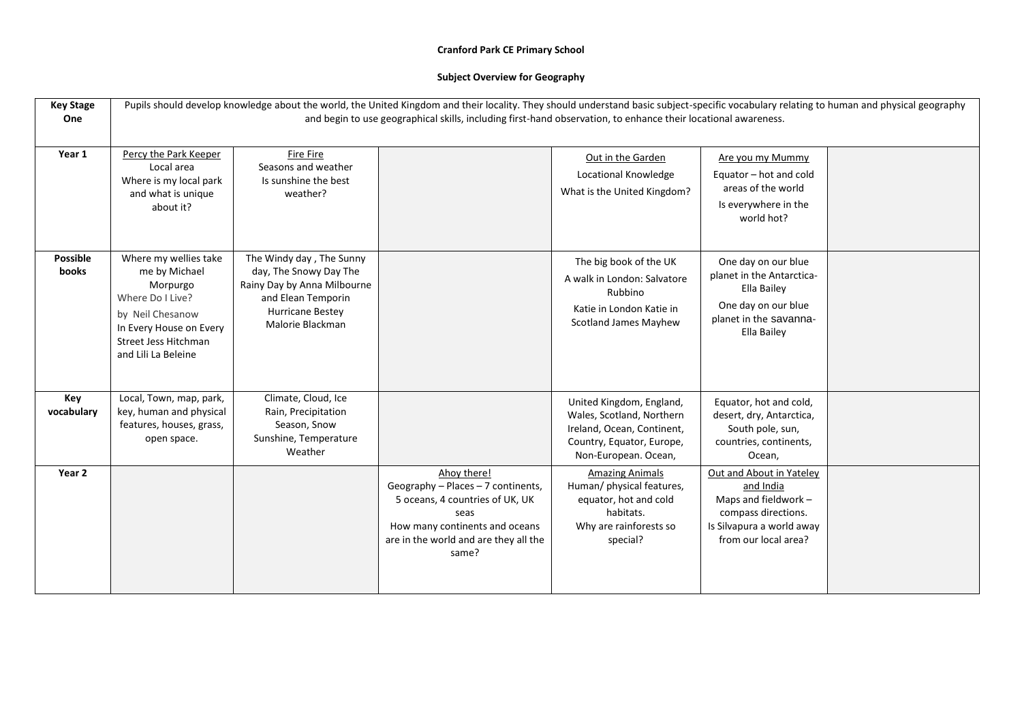| <b>Key Stage</b><br>One         | Pupils should develop knowledge about the world, the United Kingdom and their locality. They should understand basic subject-specific vocabulary relating to human and physical geography<br>and begin to use geographical skills, including first-hand observation, to enhance their locational awareness. |                                                                                                                                                        |                                                                                                                                                                                  |                                                                                                                                          |                                                                                                                                           |  |
|---------------------------------|-------------------------------------------------------------------------------------------------------------------------------------------------------------------------------------------------------------------------------------------------------------------------------------------------------------|--------------------------------------------------------------------------------------------------------------------------------------------------------|----------------------------------------------------------------------------------------------------------------------------------------------------------------------------------|------------------------------------------------------------------------------------------------------------------------------------------|-------------------------------------------------------------------------------------------------------------------------------------------|--|
| Year 1                          | Percy the Park Keeper<br>Local area<br>Where is my local park<br>and what is unique<br>about it?                                                                                                                                                                                                            | <b>Fire Fire</b><br>Seasons and weather<br>Is sunshine the best<br>weather?                                                                            |                                                                                                                                                                                  | Out in the Garden<br>Locational Knowledge<br>What is the United Kingdom?                                                                 | Are you my Mummy<br>Equator - hot and cold<br>areas of the world<br>Is everywhere in the<br>world hot?                                    |  |
| <b>Possible</b><br><b>books</b> | Where my wellies take<br>me by Michael<br>Morpurgo<br>Where Do I Live?<br>by Neil Chesanow<br>In Every House on Every<br>Street Jess Hitchman<br>and Lili La Beleine                                                                                                                                        | The Windy day, The Sunny<br>day, The Snowy Day The<br>Rainy Day by Anna Milbourne<br>and Elean Temporin<br><b>Hurricane Bestey</b><br>Malorie Blackman |                                                                                                                                                                                  | The big book of the UK<br>A walk in London: Salvatore<br>Rubbino<br>Katie in London Katie in<br><b>Scotland James Mayhew</b>             | One day on our blue<br>planet in the Antarctica-<br>Ella Bailey<br>One day on our blue<br>planet in the savanna-<br>Ella Bailey           |  |
| Key<br>vocabulary               | Local, Town, map, park,<br>key, human and physical<br>features, houses, grass,<br>open space.                                                                                                                                                                                                               | Climate, Cloud, Ice<br>Rain, Precipitation<br>Season, Snow<br>Sunshine, Temperature<br>Weather                                                         |                                                                                                                                                                                  | United Kingdom, England,<br>Wales, Scotland, Northern<br>Ireland, Ocean, Continent,<br>Country, Equator, Europe,<br>Non-European. Ocean, | Equator, hot and cold,<br>desert, dry, Antarctica,<br>South pole, sun,<br>countries, continents,<br>Ocean,                                |  |
| Year 2                          |                                                                                                                                                                                                                                                                                                             |                                                                                                                                                        | Ahoy there!<br>Geography - Places - 7 continents,<br>5 oceans, 4 countries of UK, UK<br>seas<br>How many continents and oceans<br>are in the world and are they all the<br>same? | <b>Amazing Animals</b><br>Human/ physical features,<br>equator, hot and cold<br>habitats.<br>Why are rainforests so<br>special?          | Out and About in Yateley<br>and India<br>Maps and fieldwork -<br>compass directions.<br>Is Silvapura a world away<br>from our local area? |  |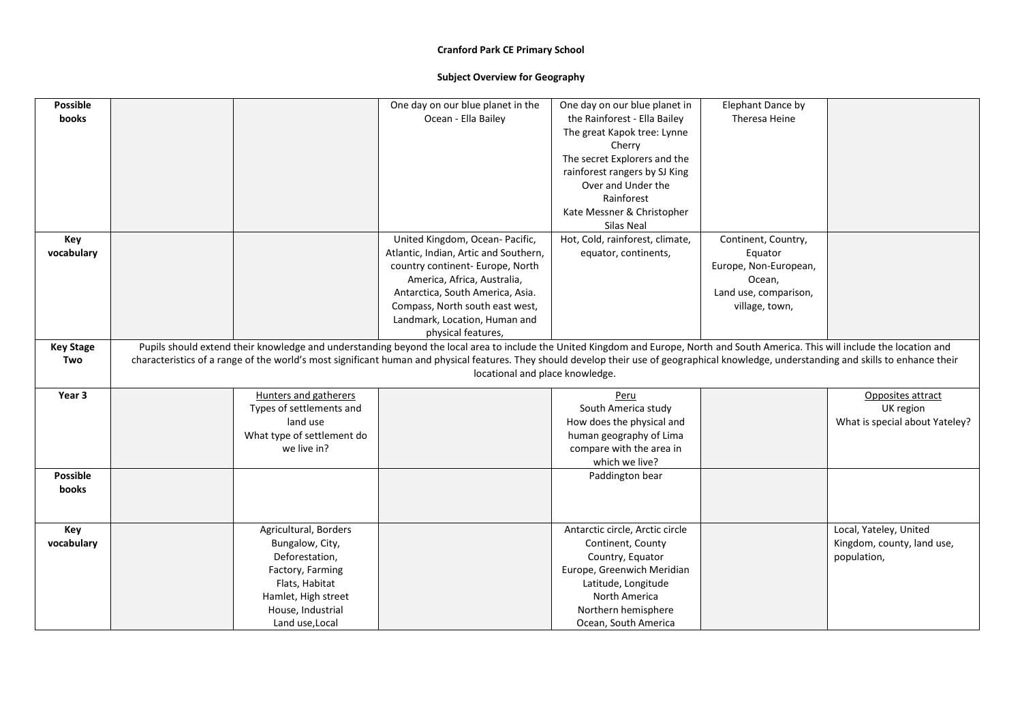| <b>Possible</b>  |                            | One day on our blue planet in the                                                                                                                                                          | One day on our blue planet in   | Elephant Dance by     |                                |
|------------------|----------------------------|--------------------------------------------------------------------------------------------------------------------------------------------------------------------------------------------|---------------------------------|-----------------------|--------------------------------|
| books            |                            | Ocean - Ella Bailey                                                                                                                                                                        | the Rainforest - Ella Bailey    | Theresa Heine         |                                |
|                  |                            |                                                                                                                                                                                            | The great Kapok tree: Lynne     |                       |                                |
|                  |                            |                                                                                                                                                                                            | Cherry                          |                       |                                |
|                  |                            |                                                                                                                                                                                            | The secret Explorers and the    |                       |                                |
|                  |                            |                                                                                                                                                                                            | rainforest rangers by SJ King   |                       |                                |
|                  |                            |                                                                                                                                                                                            | Over and Under the              |                       |                                |
|                  |                            |                                                                                                                                                                                            | Rainforest                      |                       |                                |
|                  |                            |                                                                                                                                                                                            | Kate Messner & Christopher      |                       |                                |
|                  |                            |                                                                                                                                                                                            | Silas Neal                      |                       |                                |
| Key              |                            | United Kingdom, Ocean- Pacific,                                                                                                                                                            | Hot, Cold, rainforest, climate, | Continent, Country,   |                                |
| vocabulary       |                            | Atlantic, Indian, Artic and Southern,                                                                                                                                                      | equator, continents,            | Equator               |                                |
|                  |                            | country continent- Europe, North                                                                                                                                                           |                                 | Europe, Non-European, |                                |
|                  |                            | America, Africa, Australia,                                                                                                                                                                |                                 | Ocean,                |                                |
|                  |                            | Antarctica, South America, Asia.                                                                                                                                                           |                                 | Land use, comparison, |                                |
|                  |                            | Compass, North south east west,                                                                                                                                                            |                                 | village, town,        |                                |
|                  |                            | Landmark, Location, Human and                                                                                                                                                              |                                 |                       |                                |
|                  |                            | physical features,                                                                                                                                                                         |                                 |                       |                                |
| <b>Key Stage</b> |                            | Pupils should extend their knowledge and understanding beyond the local area to include the United Kingdom and Europe, North and South America. This will include the location and         |                                 |                       |                                |
| Two              |                            | characteristics of a range of the world's most significant human and physical features. They should develop their use of geographical knowledge, understanding and skills to enhance their |                                 |                       |                                |
|                  |                            | locational and place knowledge.                                                                                                                                                            |                                 |                       |                                |
| Year 3           | Hunters and gatherers      |                                                                                                                                                                                            | Peru                            |                       | Opposites attract              |
|                  | Types of settlements and   |                                                                                                                                                                                            | South America study             |                       | UK region                      |
|                  | land use                   |                                                                                                                                                                                            | How does the physical and       |                       | What is special about Yateley? |
|                  | What type of settlement do |                                                                                                                                                                                            | human geography of Lima         |                       |                                |
|                  | we live in?                |                                                                                                                                                                                            | compare with the area in        |                       |                                |
|                  |                            |                                                                                                                                                                                            | which we live?                  |                       |                                |
| <b>Possible</b>  |                            |                                                                                                                                                                                            | Paddington bear                 |                       |                                |
| books            |                            |                                                                                                                                                                                            |                                 |                       |                                |
|                  |                            |                                                                                                                                                                                            |                                 |                       |                                |
|                  |                            |                                                                                                                                                                                            |                                 |                       |                                |
| Key              | Agricultural, Borders      |                                                                                                                                                                                            | Antarctic circle, Arctic circle |                       | Local, Yateley, United         |
| vocabulary       | Bungalow, City,            |                                                                                                                                                                                            | Continent, County               |                       | Kingdom, county, land use,     |
|                  | Deforestation,             |                                                                                                                                                                                            | Country, Equator                |                       | population,                    |
|                  | Factory, Farming           |                                                                                                                                                                                            | Europe, Greenwich Meridian      |                       |                                |
|                  | Flats, Habitat             |                                                                                                                                                                                            | Latitude, Longitude             |                       |                                |
|                  | Hamlet, High street        |                                                                                                                                                                                            | North America                   |                       |                                |
|                  | House, Industrial          |                                                                                                                                                                                            | Northern hemisphere             |                       |                                |
|                  | Land use, Local            |                                                                                                                                                                                            | Ocean, South America            |                       |                                |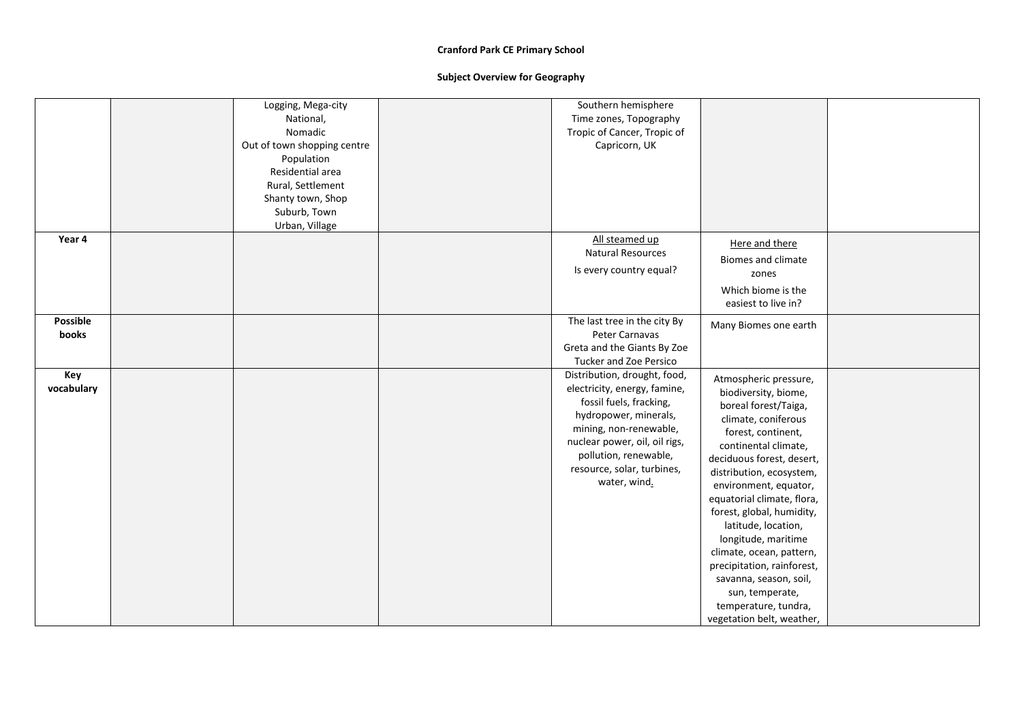|                   | Logging, Mega-city<br>National,<br>Nomadic<br>Out of town shopping centre<br>Population<br>Residential area<br>Rural, Settlement<br>Shanty town, Shop<br>Suburb, Town<br>Urban, Village | Southern hemisphere<br>Time zones, Topography<br>Tropic of Cancer, Tropic of<br>Capricorn, UK                                                                                                                                                      |                                                                                                                                                                                                                                                                                                                                                                                                                                                                                                   |
|-------------------|-----------------------------------------------------------------------------------------------------------------------------------------------------------------------------------------|----------------------------------------------------------------------------------------------------------------------------------------------------------------------------------------------------------------------------------------------------|---------------------------------------------------------------------------------------------------------------------------------------------------------------------------------------------------------------------------------------------------------------------------------------------------------------------------------------------------------------------------------------------------------------------------------------------------------------------------------------------------|
| Year 4            |                                                                                                                                                                                         | All steamed up<br><b>Natural Resources</b><br>Is every country equal?                                                                                                                                                                              | Here and there<br><b>Biomes and climate</b><br>zones<br>Which biome is the<br>easiest to live in?                                                                                                                                                                                                                                                                                                                                                                                                 |
| Possible<br>books |                                                                                                                                                                                         | The last tree in the city By<br>Peter Carnavas<br>Greta and the Giants By Zoe<br><b>Tucker and Zoe Persico</b>                                                                                                                                     | Many Biomes one earth                                                                                                                                                                                                                                                                                                                                                                                                                                                                             |
| Key<br>vocabulary |                                                                                                                                                                                         | Distribution, drought, food,<br>electricity, energy, famine,<br>fossil fuels, fracking,<br>hydropower, minerals,<br>mining, non-renewable,<br>nuclear power, oil, oil rigs,<br>pollution, renewable,<br>resource, solar, turbines,<br>water, wind. | Atmospheric pressure,<br>biodiversity, biome,<br>boreal forest/Taiga,<br>climate, coniferous<br>forest, continent,<br>continental climate,<br>deciduous forest, desert,<br>distribution, ecosystem,<br>environment, equator,<br>equatorial climate, flora,<br>forest, global, humidity,<br>latitude, location,<br>longitude, maritime<br>climate, ocean, pattern,<br>precipitation, rainforest,<br>savanna, season, soil,<br>sun, temperate,<br>temperature, tundra,<br>vegetation belt, weather, |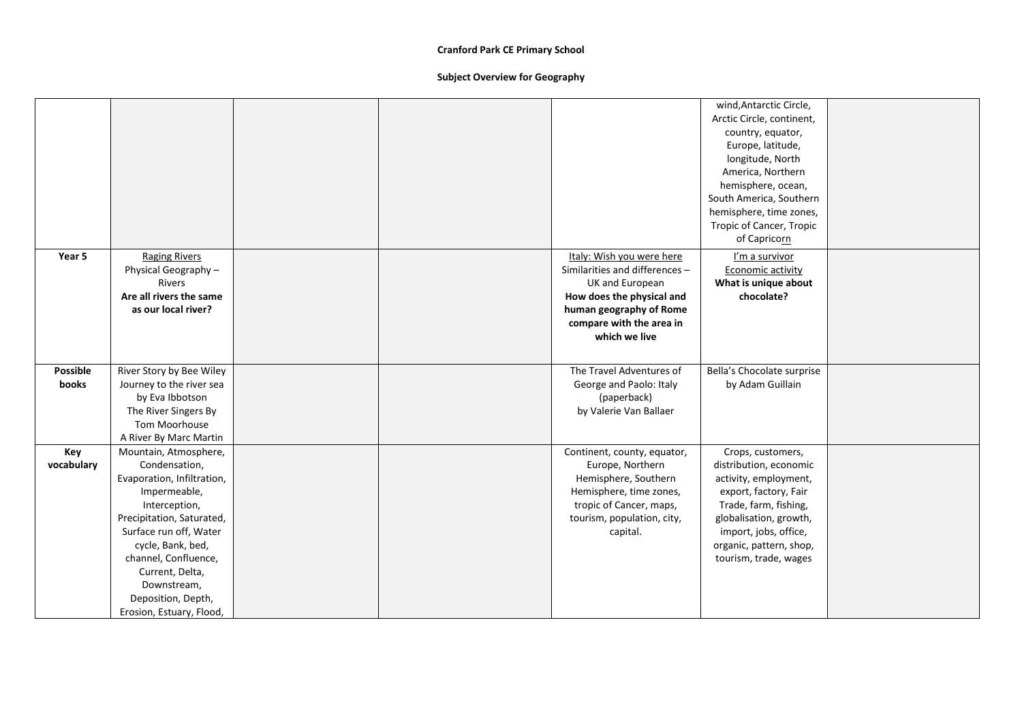|            |                            |  |                                | wind, Antarctic Circle,    |  |
|------------|----------------------------|--|--------------------------------|----------------------------|--|
|            |                            |  |                                | Arctic Circle, continent,  |  |
|            |                            |  |                                | country, equator,          |  |
|            |                            |  |                                | Europe, latitude,          |  |
|            |                            |  |                                | longitude, North           |  |
|            |                            |  |                                | America, Northern          |  |
|            |                            |  |                                | hemisphere, ocean,         |  |
|            |                            |  |                                | South America, Southern    |  |
|            |                            |  |                                | hemisphere, time zones,    |  |
|            |                            |  |                                | Tropic of Cancer, Tropic   |  |
|            |                            |  |                                | of Capricorn               |  |
| Year 5     | <b>Raging Rivers</b>       |  | Italy: Wish you were here      | I'm a survivor             |  |
|            | Physical Geography -       |  | Similarities and differences - | Economic activity          |  |
|            | <b>Rivers</b>              |  | UK and European                | What is unique about       |  |
|            | Are all rivers the same    |  | How does the physical and      | chocolate?                 |  |
|            | as our local river?        |  | human geography of Rome        |                            |  |
|            |                            |  | compare with the area in       |                            |  |
|            |                            |  | which we live                  |                            |  |
|            |                            |  |                                |                            |  |
|            |                            |  |                                |                            |  |
| Possible   | River Story by Bee Wiley   |  | The Travel Adventures of       | Bella's Chocolate surprise |  |
| books      | Journey to the river sea   |  | George and Paolo: Italy        | by Adam Guillain           |  |
|            | by Eva Ibbotson            |  | (paperback)                    |                            |  |
|            | The River Singers By       |  | by Valerie Van Ballaer         |                            |  |
|            | Tom Moorhouse              |  |                                |                            |  |
|            | A River By Marc Martin     |  |                                |                            |  |
| Key        | Mountain, Atmosphere,      |  | Continent, county, equator,    | Crops, customers,          |  |
| vocabulary | Condensation,              |  | Europe, Northern               | distribution, economic     |  |
|            | Evaporation, Infiltration, |  | Hemisphere, Southern           | activity, employment,      |  |
|            | Impermeable,               |  | Hemisphere, time zones,        | export, factory, Fair      |  |
|            | Interception,              |  | tropic of Cancer, maps,        | Trade, farm, fishing,      |  |
|            | Precipitation, Saturated,  |  | tourism, population, city,     | globalisation, growth,     |  |
|            | Surface run off, Water     |  | capital.                       | import, jobs, office,      |  |
|            | cycle, Bank, bed,          |  |                                | organic, pattern, shop,    |  |
|            | channel, Confluence,       |  |                                | tourism, trade, wages      |  |
|            | Current, Delta,            |  |                                |                            |  |
|            | Downstream,                |  |                                |                            |  |
|            | Deposition, Depth,         |  |                                |                            |  |
|            | Erosion, Estuary, Flood,   |  |                                |                            |  |